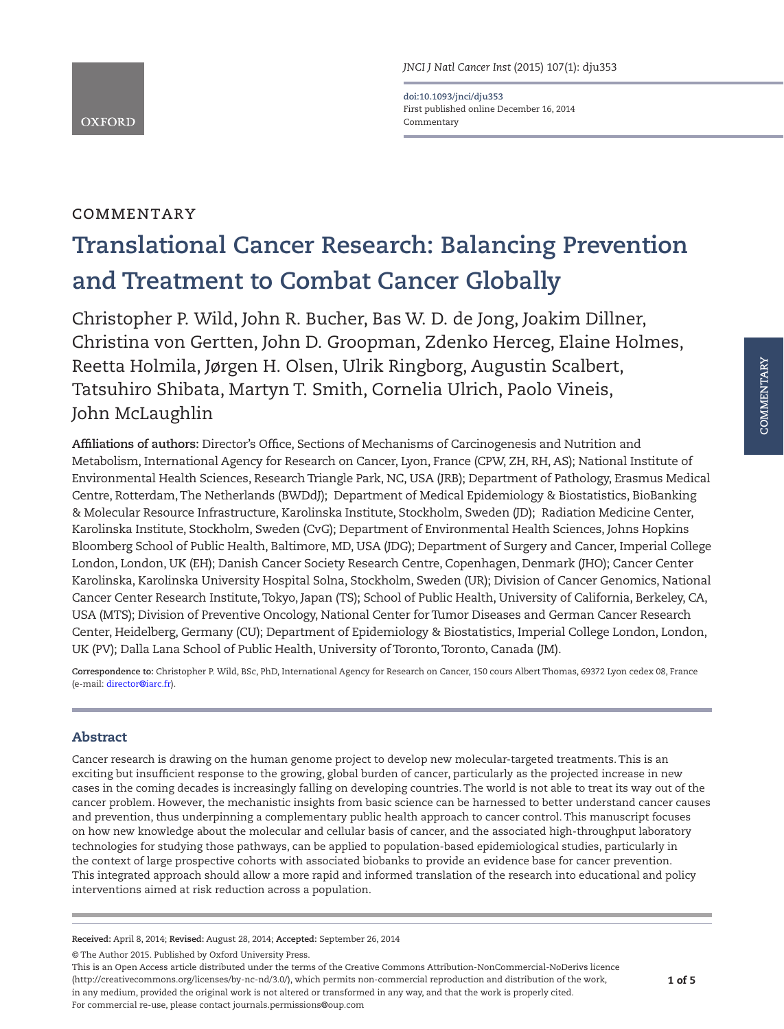**doi:10.1093/jnci/dju353** First published online December 16, 2014 Commentary

# **COMMENTARY**

**OXFORD** 

# **Translational Cancer Research: Balancing Prevention and Treatment to Combat Cancer Globally**

Christopher P. Wild, John R. Bucher, Bas W. D. de Jong, Joakim Dillner, Christina von Gertten, John D. Groopman, Zdenko Herceg, Elaine Holmes, Reetta Holmila, Jørgen H. Olsen, Ulrik Ringborg, Augustin Scalbert, Tatsuhiro Shibata, Martyn T. Smith, Cornelia Ulrich, Paolo Vineis, John McLaughlin

**Affiliations of authors:** Director's Office, Sections of Mechanisms of Carcinogenesis and Nutrition and Metabolism, International Agency for Research on Cancer, Lyon, France (CPW, ZH, RH, AS); National Institute of Environmental Health Sciences, Research Triangle Park, NC, USA (JRB); Department of Pathology, Erasmus Medical Centre, Rotterdam, The Netherlands (BWDdJ); Department of Medical Epidemiology & Biostatistics, BioBanking & Molecular Resource Infrastructure, Karolinska Institute, Stockholm, Sweden (JD); Radiation Medicine Center, Karolinska Institute, Stockholm, Sweden (CvG); Department of Environmental Health Sciences, Johns Hopkins Bloomberg School of Public Health, Baltimore, MD, USA (JDG); Department of Surgery and Cancer, Imperial College London, London, UK (EH); Danish Cancer Society Research Centre, Copenhagen, Denmark (JHO); Cancer Center Karolinska, Karolinska University Hospital Solna, Stockholm, Sweden (UR); Division of Cancer Genomics, National Cancer Center Research Institute, Tokyo, Japan (TS); School of Public Health, University of California, Berkeley, CA, USA (MTS); Division of Preventive Oncology, National Center for Tumor Diseases and German Cancer Research Center, Heidelberg, Germany (CU); Department of Epidemiology & Biostatistics, Imperial College London, London, UK (PV); Dalla Lana School of Public Health, University of Toronto, Toronto, Canada (JM).

**Correspondence to:** Christopher P. Wild, BSc, PhD, International Agency for Research on Cancer, 150 cours Albert Thomas, 69372 Lyon cedex 08, France (e-mail: [director@iarc.fr\)](mailto:director@iarc.fr?subject=).

## Abstract

Cancer research is drawing on the human genome project to develop new molecular-targeted treatments. This is an exciting but insufficient response to the growing, global burden of cancer, particularly as the projected increase in new cases in the coming decades is increasingly falling on developing countries. The world is not able to treat its way out of the cancer problem. However, the mechanistic insights from basic science can be harnessed to better understand cancer causes and prevention, thus underpinning a complementary public health approach to cancer control. This manuscript focuses on how new knowledge about the molecular and cellular basis of cancer, and the associated high-throughput laboratory technologies for studying those pathways, can be applied to population-based epidemiological studies, particularly in the context of large prospective cohorts with associated biobanks to provide an evidence base for cancer prevention. This integrated approach should allow a more rapid and informed translation of the research into educational and policy interventions aimed at risk reduction across a population.

**Received:** April 8, 2014; **Revised:** August 28, 2014; **Accepted:** September 26, 2014

© The Author 2015. Published by Oxford University Press.

This is an Open Access article distributed under the terms of the Creative Commons Attribution-NonCommercial-NoDerivs licence (http://creativecommons.org/licenses/by-nc-nd/3.0/), which permits non-commercial reproduction and distribution of the work, in any medium, provided the original work is not altered or transformed in any way, and that the work is properly cited. For commercial re-use, please contact journals.permissions@oup.com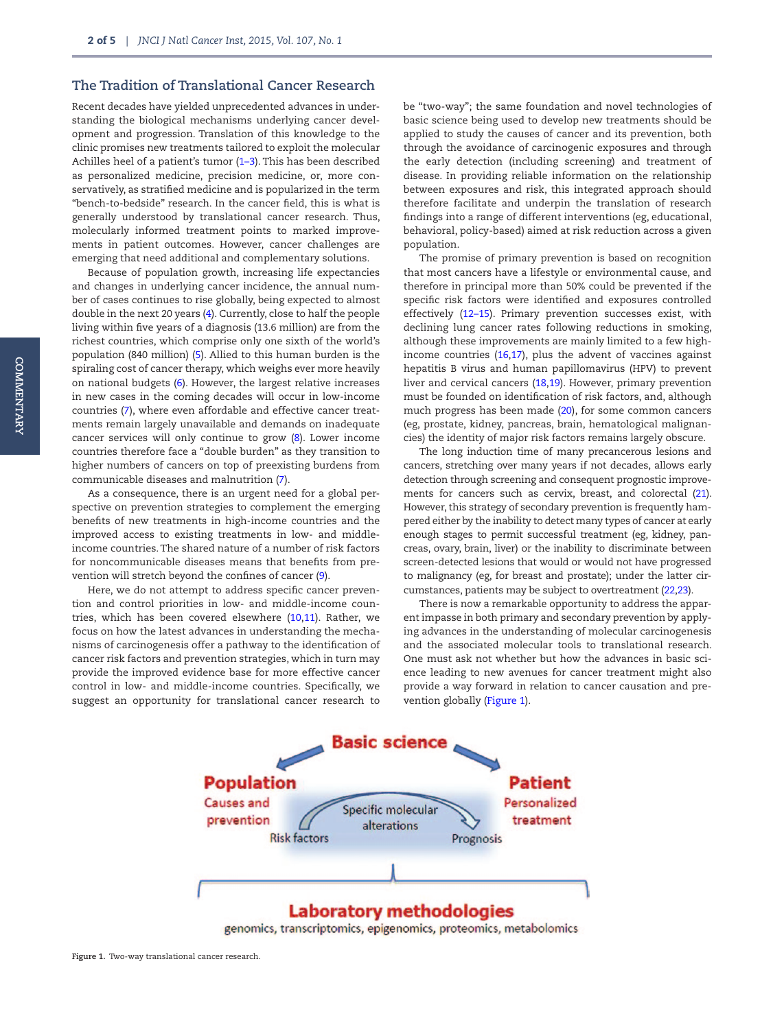#### **The Tradition of Translational Cancer Research**

Recent decades have yielded unprecedented advances in understanding the biological mechanisms underlying cancer development and progression. Translation of this knowledge to the clinic promises new treatments tailored to exploit the molecular Achilles heel of a patient's tumor ([1–3\)](#page-3-0). This has been described as personalized medicine, precision medicine, or, more conservatively, as stratified medicine and is popularized in the term "bench-to-bedside" research. In the cancer field, this is what is generally understood by translational cancer research. Thus, molecularly informed treatment points to marked improvements in patient outcomes. However, cancer challenges are emerging that need additional and complementary solutions.

Because of population growth, increasing life expectancies and changes in underlying cancer incidence, the annual number of cases continues to rise globally, being expected to almost double in the next 20 years [\(4\)](#page-3-1). Currently, close to half the people living within five years of a diagnosis (13.6 million) are from the richest countries, which comprise only one sixth of the world's population (840 million) [\(5\)](#page-3-2). Allied to this human burden is the spiraling cost of cancer therapy, which weighs ever more heavily on national budgets [\(6\)](#page-3-3). However, the largest relative increases in new cases in the coming decades will occur in low-income countries [\(7](#page-3-4)), where even affordable and effective cancer treatments remain largely unavailable and demands on inadequate cancer services will only continue to grow ([8\)](#page-3-5). Lower income countries therefore face a "double burden" as they transition to higher numbers of cancers on top of preexisting burdens from communicable diseases and malnutrition ([7](#page-3-4)).

As a consequence, there is an urgent need for a global perspective on prevention strategies to complement the emerging benefits of new treatments in high-income countries and the improved access to existing treatments in low- and middleincome countries. The shared nature of a number of risk factors for noncommunicable diseases means that benefits from prevention will stretch beyond the confines of cancer ([9\)](#page-3-6).

Here, we do not attempt to address specific cancer prevention and control priorities in low- and middle-income countries, which has been covered elsewhere [\(10,](#page-3-7)[11](#page-3-8)). Rather, we focus on how the latest advances in understanding the mechanisms of carcinogenesis offer a pathway to the identification of cancer risk factors and prevention strategies, which in turn may provide the improved evidence base for more effective cancer control in low- and middle-income countries. Specifically, we suggest an opportunity for translational cancer research to

be "two-way"; the same foundation and novel technologies of basic science being used to develop new treatments should be applied to study the causes of cancer and its prevention, both through the avoidance of carcinogenic exposures and through the early detection (including screening) and treatment of disease. In providing reliable information on the relationship between exposures and risk, this integrated approach should therefore facilitate and underpin the translation of research findings into a range of different interventions (eg, educational, behavioral, policy-based) aimed at risk reduction across a given population.

The promise of primary prevention is based on recognition that most cancers have a lifestyle or environmental cause, and therefore in principal more than 50% could be prevented if the specific risk factors were identified and exposures controlled effectively ([12–15](#page-3-9)). Primary prevention successes exist, with declining lung cancer rates following reductions in smoking, although these improvements are mainly limited to a few highincome countries [\(16](#page-3-10)[,17\)](#page-4-0), plus the advent of vaccines against hepatitis B virus and human papillomavirus (HPV) to prevent liver and cervical cancers ([18](#page-4-1)[,19\)](#page-4-2). However, primary prevention must be founded on identification of risk factors, and, although much progress has been made [\(20](#page-4-3)), for some common cancers (eg, prostate, kidney, pancreas, brain, hematological malignancies) the identity of major risk factors remains largely obscure.

The long induction time of many precancerous lesions and cancers, stretching over many years if not decades, allows early detection through screening and consequent prognostic improvements for cancers such as cervix, breast, and colorectal [\(21\)](#page-4-4). However, this strategy of secondary prevention is frequently hampered either by the inability to detect many types of cancer at early enough stages to permit successful treatment (eg, kidney, pancreas, ovary, brain, liver) or the inability to discriminate between screen-detected lesions that would or would not have progressed to malignancy (eg, for breast and prostate); under the latter circumstances, patients may be subject to overtreatment ([22,](#page-4-5)[23\)](#page-4-6).

There is now a remarkable opportunity to address the apparent impasse in both primary and secondary prevention by applying advances in the understanding of molecular carcinogenesis and the associated molecular tools to translational research. One must ask not whether but how the advances in basic science leading to new avenues for cancer treatment might also provide a way forward in relation to cancer causation and prevention globally ([Figure 1\)](#page-1-0).



<span id="page-1-0"></span>**Figure 1.** Two-way translational cancer research.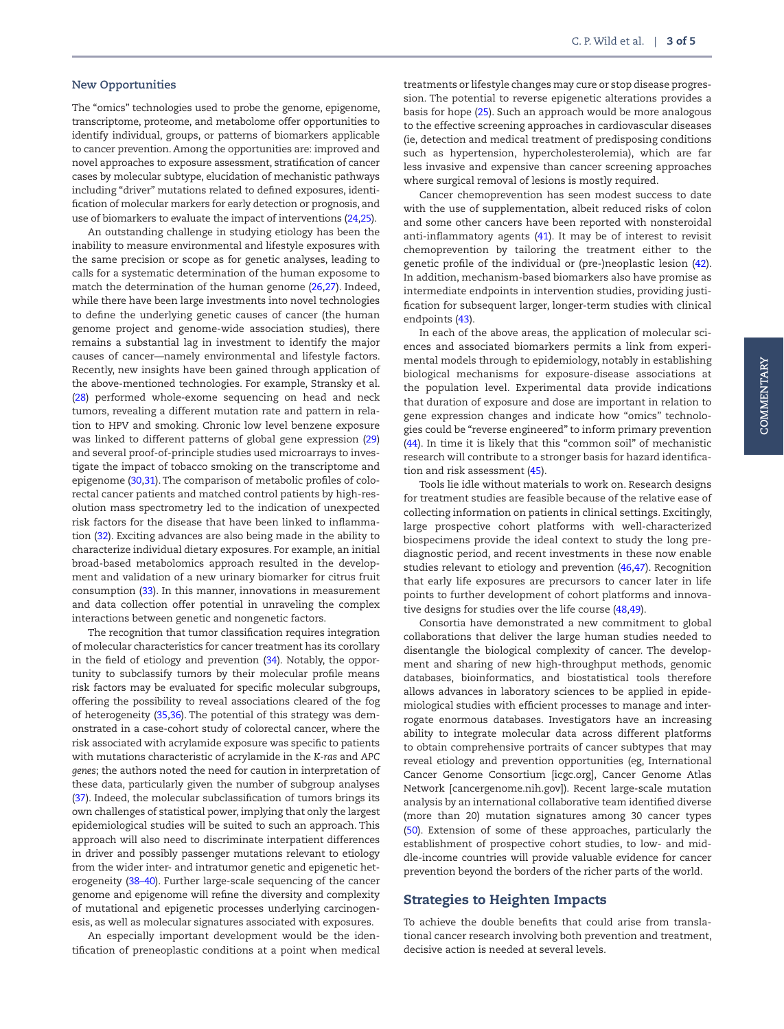The "omics" technologies used to probe the genome, epigenome, transcriptome, proteome, and metabolome offer opportunities to identify individual, groups, or patterns of biomarkers applicable to cancer prevention. Among the opportunities are: improved and novel approaches to exposure assessment, stratification of cancer cases by molecular subtype, elucidation of mechanistic pathways including "driver" mutations related to defined exposures, identification of molecular markers for early detection or prognosis, and use of biomarkers to evaluate the impact of interventions [\(24](#page-4-7)[,25](#page-4-8)).

An outstanding challenge in studying etiology has been the inability to measure environmental and lifestyle exposures with the same precision or scope as for genetic analyses, leading to calls for a systematic determination of the human exposome to match the determination of the human genome ([26,](#page-4-9)[27](#page-4-10)). Indeed, while there have been large investments into novel technologies to define the underlying genetic causes of cancer (the human genome project and genome-wide association studies), there remains a substantial lag in investment to identify the major causes of cancer—namely environmental and lifestyle factors. Recently, new insights have been gained through application of the above-mentioned technologies. For example, Stransky et al. ([28](#page-4-11)) performed whole-exome sequencing on head and neck tumors, revealing a different mutation rate and pattern in relation to HPV and smoking. Chronic low level benzene exposure was linked to different patterns of global gene expression [\(29](#page-4-12)) and several proof-of-principle studies used microarrays to investigate the impact of tobacco smoking on the transcriptome and epigenome [\(30,](#page-4-13)[31\)](#page-4-14). The comparison of metabolic profiles of colorectal cancer patients and matched control patients by high-resolution mass spectrometry led to the indication of unexpected risk factors for the disease that have been linked to inflammation ([32](#page-4-15)). Exciting advances are also being made in the ability to characterize individual dietary exposures. For example, an initial broad-based metabolomics approach resulted in the development and validation of a new urinary biomarker for citrus fruit consumption [\(33](#page-4-16)). In this manner, innovations in measurement and data collection offer potential in unraveling the complex interactions between genetic and nongenetic factors.

The recognition that tumor classification requires integration of molecular characteristics for cancer treatment has its corollary in the field of etiology and prevention [\(34](#page-4-17)). Notably, the opportunity to subclassify tumors by their molecular profile means risk factors may be evaluated for specific molecular subgroups, offering the possibility to reveal associations cleared of the fog of heterogeneity [\(35](#page-4-18)[,36\)](#page-4-19). The potential of this strategy was demonstrated in a case-cohort study of colorectal cancer, where the risk associated with acrylamide exposure was specific to patients with mutations characteristic of acrylamide in the *K-ras* and *APC genes*; the authors noted the need for caution in interpretation of these data, particularly given the number of subgroup analyses ([37](#page-4-20)). Indeed, the molecular subclassification of tumors brings its own challenges of statistical power, implying that only the largest epidemiological studies will be suited to such an approach. This approach will also need to discriminate interpatient differences in driver and possibly passenger mutations relevant to etiology from the wider inter- and intratumor genetic and epigenetic heterogeneity ([38–40\)](#page-4-21). Further large-scale sequencing of the cancer genome and epigenome will refine the diversity and complexity of mutational and epigenetic processes underlying carcinogenesis, as well as molecular signatures associated with exposures.

An especially important development would be the identification of preneoplastic conditions at a point when medical

treatments or lifestyle changes may cure or stop disease progression. The potential to reverse epigenetic alterations provides a basis for hope ([25](#page-4-8)). Such an approach would be more analogous to the effective screening approaches in cardiovascular diseases (ie, detection and medical treatment of predisposing conditions such as hypertension, hypercholesterolemia), which are far less invasive and expensive than cancer screening approaches where surgical removal of lesions is mostly required.

Cancer chemoprevention has seen modest success to date with the use of supplementation, albeit reduced risks of colon and some other cancers have been reported with nonsteroidal anti-inflammatory agents [\(41\)](#page-4-22). It may be of interest to revisit chemoprevention by tailoring the treatment either to the genetic profile of the individual or (pre-)neoplastic lesion [\(42](#page-4-23)). In addition, mechanism-based biomarkers also have promise as intermediate endpoints in intervention studies, providing justification for subsequent larger, longer-term studies with clinical endpoints [\(43\)](#page-4-24).

In each of the above areas, the application of molecular sciences and associated biomarkers permits a link from experimental models through to epidemiology, notably in establishing biological mechanisms for exposure-disease associations at the population level. Experimental data provide indications that duration of exposure and dose are important in relation to gene expression changes and indicate how "omics" technologies could be "reverse engineered" to inform primary prevention ([44](#page-4-25)). In time it is likely that this "common soil" of mechanistic research will contribute to a stronger basis for hazard identification and risk assessment ([45](#page-4-26)).

Tools lie idle without materials to work on. Research designs for treatment studies are feasible because of the relative ease of collecting information on patients in clinical settings. Excitingly, large prospective cohort platforms with well-characterized biospecimens provide the ideal context to study the long prediagnostic period, and recent investments in these now enable studies relevant to etiology and prevention ([46,](#page-4-27)[47](#page-4-28)). Recognition that early life exposures are precursors to cancer later in life points to further development of cohort platforms and innovative designs for studies over the life course [\(48](#page-4-29)[,49\)](#page-4-30).

Consortia have demonstrated a new commitment to global collaborations that deliver the large human studies needed to disentangle the biological complexity of cancer. The development and sharing of new high-throughput methods, genomic databases, bioinformatics, and biostatistical tools therefore allows advances in laboratory sciences to be applied in epidemiological studies with efficient processes to manage and interrogate enormous databases. Investigators have an increasing ability to integrate molecular data across different platforms to obtain comprehensive portraits of cancer subtypes that may reveal etiology and prevention opportunities (eg, International Cancer Genome Consortium [icgc.org], Cancer Genome Atlas Network [cancergenome.nih.gov]). Recent large-scale mutation analysis by an international collaborative team identified diverse (more than 20) mutation signatures among 30 cancer types ([50](#page-4-31)). Extension of some of these approaches, particularly the establishment of prospective cohort studies, to low- and middle-income countries will provide valuable evidence for cancer prevention beyond the borders of the richer parts of the world.

#### Strategies to Heighten Impacts

To achieve the double benefits that could arise from translational cancer research involving both prevention and treatment, decisive action is needed at several levels.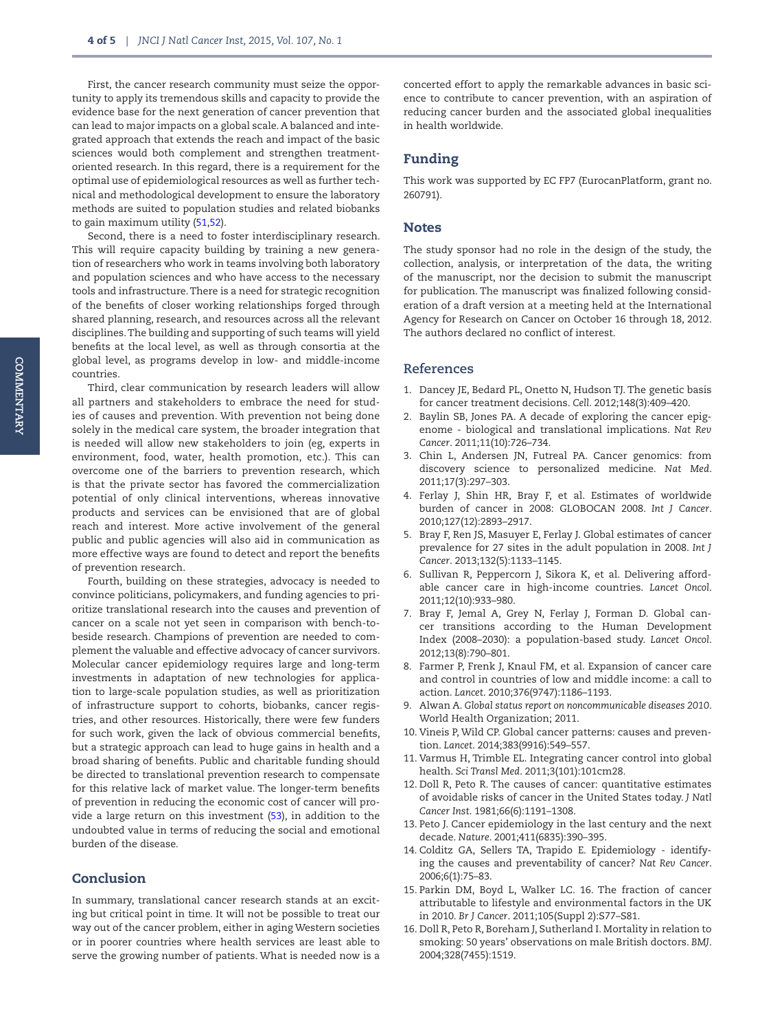First, the cancer research community must seize the opportunity to apply its tremendous skills and capacity to provide the evidence base for the next generation of cancer prevention that can lead to major impacts on a global scale. A balanced and integrated approach that extends the reach and impact of the basic sciences would both complement and strengthen treatmentoriented research. In this regard, there is a requirement for the optimal use of epidemiological resources as well as further technical and methodological development to ensure the laboratory methods are suited to population studies and related biobanks to gain maximum utility [\(51](#page-4-32)[,52\)](#page-4-33).

Second, there is a need to foster interdisciplinary research. This will require capacity building by training a new generation of researchers who work in teams involving both laboratory and population sciences and who have access to the necessary tools and infrastructure. There is a need for strategic recognition of the benefits of closer working relationships forged through shared planning, research, and resources across all the relevant disciplines. The building and supporting of such teams will yield benefits at the local level, as well as through consortia at the global level, as programs develop in low- and middle-income countries.

Third, clear communication by research leaders will allow all partners and stakeholders to embrace the need for studies of causes and prevention. With prevention not being done solely in the medical care system, the broader integration that is needed will allow new stakeholders to join (eg, experts in environment, food, water, health promotion, etc.). This can overcome one of the barriers to prevention research, which is that the private sector has favored the commercialization potential of only clinical interventions, whereas innovative products and services can be envisioned that are of global reach and interest. More active involvement of the general public and public agencies will also aid in communication as more effective ways are found to detect and report the benefits of prevention research.

Fourth, building on these strategies, advocacy is needed to convince politicians, policymakers, and funding agencies to prioritize translational research into the causes and prevention of cancer on a scale not yet seen in comparison with bench-tobeside research. Champions of prevention are needed to complement the valuable and effective advocacy of cancer survivors. Molecular cancer epidemiology requires large and long-term investments in adaptation of new technologies for application to large-scale population studies, as well as prioritization of infrastructure support to cohorts, biobanks, cancer registries, and other resources. Historically, there were few funders for such work, given the lack of obvious commercial benefits, but a strategic approach can lead to huge gains in health and a broad sharing of benefits. Public and charitable funding should be directed to translational prevention research to compensate for this relative lack of market value. The longer-term benefits of prevention in reducing the economic cost of cancer will provide a large return on this investment ([53](#page-4-34)), in addition to the undoubted value in terms of reducing the social and emotional burden of the disease.

#### Conclusion

In summary, translational cancer research stands at an exciting but critical point in time. It will not be possible to treat our way out of the cancer problem, either in aging Western societies or in poorer countries where health services are least able to serve the growing number of patients. What is needed now is a

concerted effort to apply the remarkable advances in basic science to contribute to cancer prevention, with an aspiration of reducing cancer burden and the associated global inequalities in health worldwide.

## Funding

This work was supported by EC FP7 (EurocanPlatform, grant no. 260791).

#### **Notes**

The study sponsor had no role in the design of the study, the collection, analysis, or interpretation of the data, the writing of the manuscript, nor the decision to submit the manuscript for publication. The manuscript was finalized following consideration of a draft version at a meeting held at the International Agency for Research on Cancer on October 16 through 18, 2012. The authors declared no conflict of interest.

#### **References**

- <span id="page-3-0"></span>1. Dancey JE, Bedard PL, Onetto N, Hudson TJ. The genetic basis for cancer treatment decisions. *Cell*. 2012;148(3):409–420.
- 2. Baylin SB, Jones PA. A decade of exploring the cancer epigenome - biological and translational implications. *Nat Rev Cancer*. 2011;11(10):726–734.
- 3. Chin L, Andersen JN, Futreal PA. Cancer genomics: from discovery science to personalized medicine. *Nat Med*. 2011;17(3):297–303.
- <span id="page-3-1"></span>4. Ferlay J, Shin HR, Bray F, et al. Estimates of worldwide burden of cancer in 2008: GLOBOCAN 2008. *Int J Cancer*. 2010;127(12):2893–2917.
- <span id="page-3-2"></span>5. Bray F, Ren JS, Masuyer E, Ferlay J. Global estimates of cancer prevalence for 27 sites in the adult population in 2008. *Int J Cancer*. 2013;132(5):1133–1145.
- <span id="page-3-3"></span>6. Sullivan R, Peppercorn J, Sikora K, et al. Delivering affordable cancer care in high-income countries. *Lancet Oncol*. 2011;12(10):933–980.
- <span id="page-3-4"></span>7. Bray F, Jemal A, Grey N, Ferlay J, Forman D. Global cancer transitions according to the Human Development Index (2008–2030): a population-based study. *Lancet Oncol*. 2012;13(8):790–801.
- <span id="page-3-5"></span>8. Farmer P, Frenk J, Knaul FM, et al. Expansion of cancer care and control in countries of low and middle income: a call to action. *Lancet*. 2010;376(9747):1186–1193.
- <span id="page-3-6"></span>9. Alwan A. *Global status report on noncommunicable diseases 2010*. World Health Organization; 2011.
- <span id="page-3-7"></span>10. Vineis P, Wild CP. Global cancer patterns: causes and prevention. *Lancet*. 2014;383(9916):549–557.
- <span id="page-3-8"></span>11. Varmus H, Trimble EL. Integrating cancer control into global health. *Sci Transl Med*. 2011;3(101):101cm28.
- <span id="page-3-9"></span>12. Doll R, Peto R. The causes of cancer: quantitative estimates of avoidable risks of cancer in the United States today. *J Natl Cancer Inst*. 1981;66(6):1191–1308.
- 13. Peto J. Cancer epidemiology in the last century and the next decade. *Nature*. 2001;411(6835):390–395.
- 14. Colditz GA, Sellers TA, Trapido E. Epidemiology identifying the causes and preventability of cancer? *Nat Rev Cancer*. 2006;6(1):75–83.
- 15. Parkin DM, Boyd L, Walker LC. 16. The fraction of cancer attributable to lifestyle and environmental factors in the UK in 2010. *Br J Cancer*. 2011;105(Suppl 2):S77–S81.
- <span id="page-3-10"></span>16. Doll R, Peto R, Boreham J, Sutherland I. Mortality in relation to smoking: 50 years' observations on male British doctors. *BMJ*. 2004;328(7455):1519.